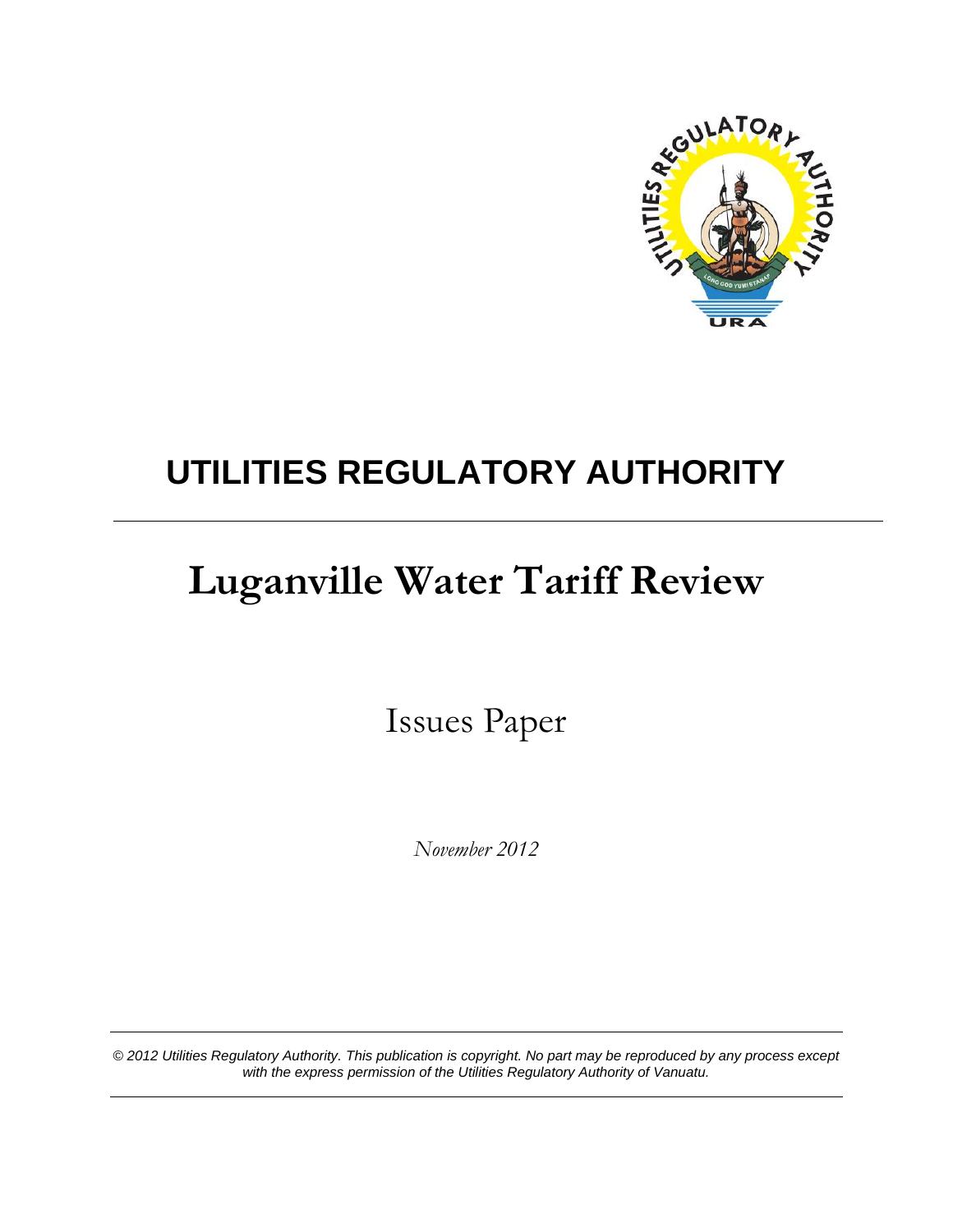

# **UTILITIES REGULATORY AUTHORITY**

# **Luganville Water Tariff Review**

Issues Paper

*November 2012*

*© 2012 Utilities Regulatory Authority. This publication is copyright. No part may be reproduced by any process except with the express permission of the Utilities Regulatory Authority of Vanuatu.*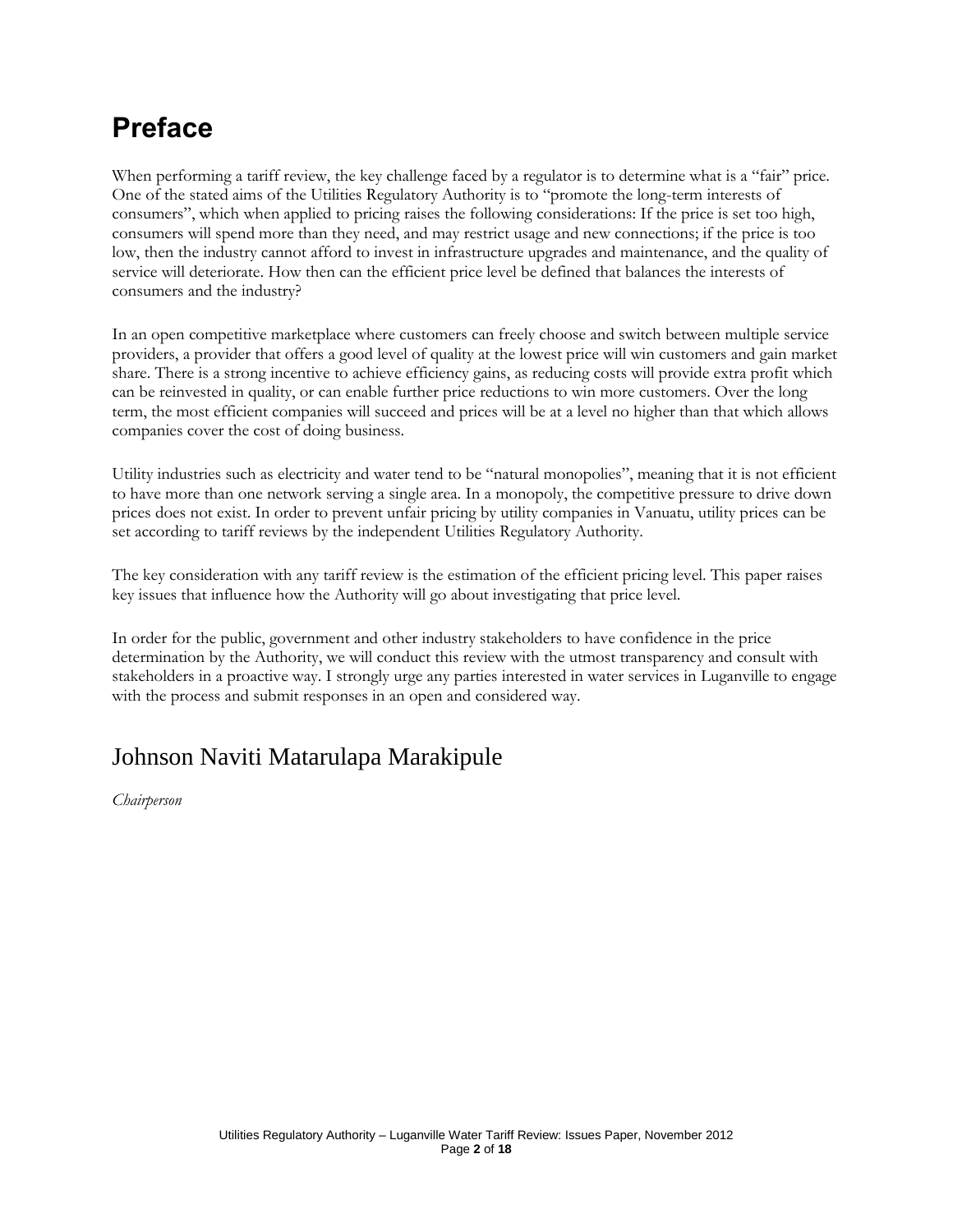# <span id="page-1-0"></span>**Preface**

When performing a tariff review, the key challenge faced by a regulator is to determine what is a "fair" price. One of the stated aims of the Utilities Regulatory Authority is to "promote the long-term interests of consumers", which when applied to pricing raises the following considerations: If the price is set too high, consumers will spend more than they need, and may restrict usage and new connections; if the price is too low, then the industry cannot afford to invest in infrastructure upgrades and maintenance, and the quality of service will deteriorate. How then can the efficient price level be defined that balances the interests of consumers and the industry?

In an open competitive marketplace where customers can freely choose and switch between multiple service providers, a provider that offers a good level of quality at the lowest price will win customers and gain market share. There is a strong incentive to achieve efficiency gains, as reducing costs will provide extra profit which can be reinvested in quality, or can enable further price reductions to win more customers. Over the long term, the most efficient companies will succeed and prices will be at a level no higher than that which allows companies cover the cost of doing business.

Utility industries such as electricity and water tend to be "natural monopolies", meaning that it is not efficient to have more than one network serving a single area. In a monopoly, the competitive pressure to drive down prices does not exist. In order to prevent unfair pricing by utility companies in Vanuatu, utility prices can be set according to tariff reviews by the independent Utilities Regulatory Authority.

The key consideration with any tariff review is the estimation of the efficient pricing level. This paper raises key issues that influence how the Authority will go about investigating that price level.

In order for the public, government and other industry stakeholders to have confidence in the price determination by the Authority, we will conduct this review with the utmost transparency and consult with stakeholders in a proactive way. I strongly urge any parties interested in water services in Luganville to engage with the process and submit responses in an open and considered way.

### Johnson Naviti Matarulapa Marakipule

*Chairperson*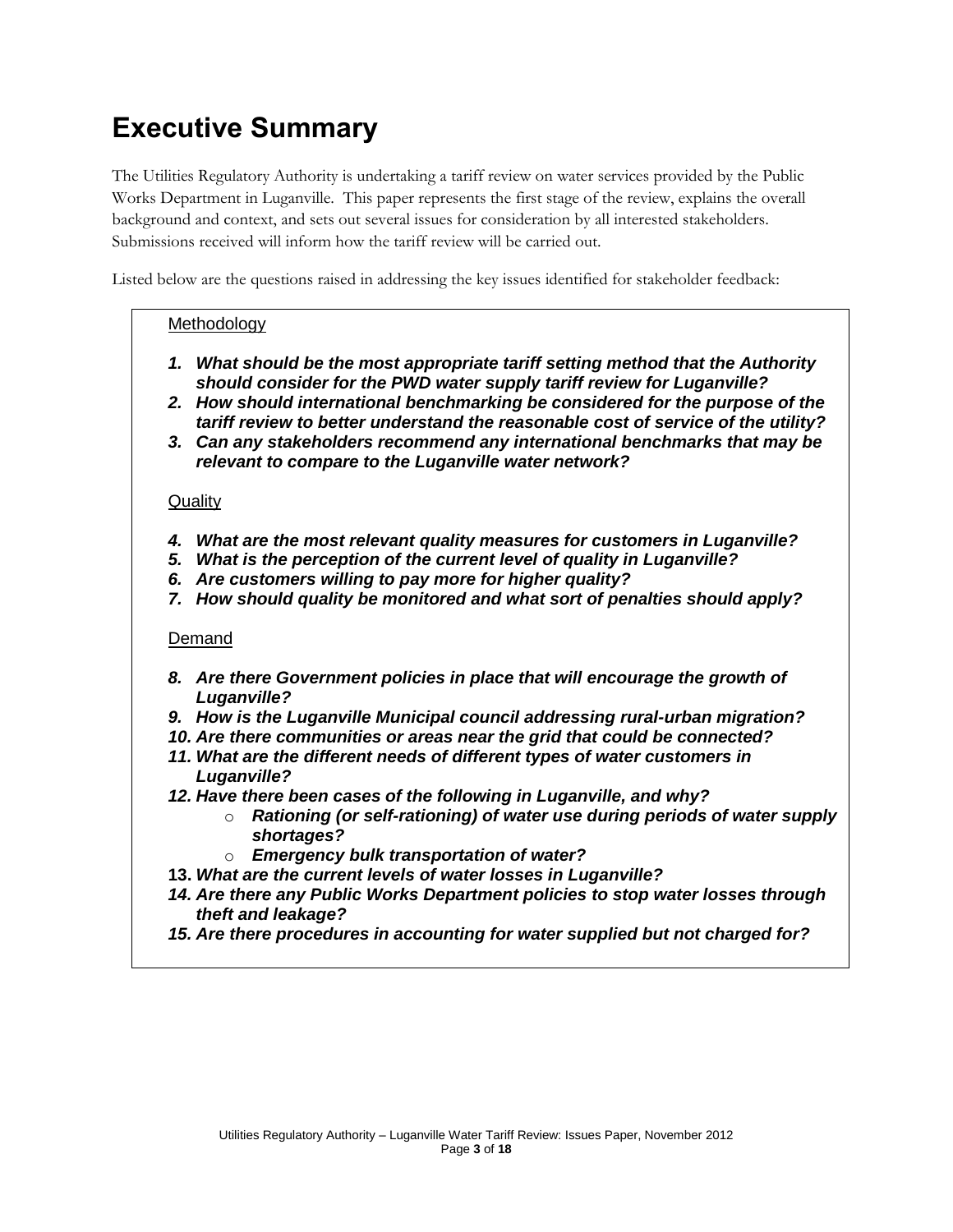# <span id="page-2-0"></span>**Executive Summary**

The Utilities Regulatory Authority is undertaking a tariff review on water services provided by the Public Works Department in Luganville. This paper represents the first stage of the review, explains the overall background and context, and sets out several issues for consideration by all interested stakeholders. Submissions received will inform how the tariff review will be carried out.

Listed below are the questions raised in addressing the key issues identified for stakeholder feedback:

#### Methodology

- *1. What should be the most appropriate tariff setting method that the Authority should consider for the PWD water supply tariff review for Luganville?*
- *2. How should international benchmarking be considered for the purpose of the tariff review to better understand the reasonable cost of service of the utility?*
- *3. Can any stakeholders recommend any international benchmarks that may be relevant to compare to the Luganville water network?*

#### **Quality**

- *4. What are the most relevant quality measures for customers in Luganville?*
- *5. What is the perception of the current level of quality in Luganville?*
- *6. Are customers willing to pay more for higher quality?*
- *7. How should quality be monitored and what sort of penalties should apply?*

#### Demand

- *8. Are there Government policies in place that will encourage the growth of Luganville?*
- *9. How is the Luganville Municipal council addressing rural-urban migration?*
- *10. Are there communities or areas near the grid that could be connected?*
- *11. What are the different needs of different types of water customers in Luganville?*
- *12. Have there been cases of the following in Luganville, and why?*
	- o *Rationing (or self-rationing) of water use during periods of water supply shortages?*
	- o *Emergency bulk transportation of water?*
- **13.** *What are the current levels of water losses in Luganville?*
- *14. Are there any Public Works Department policies to stop water losses through theft and leakage?*
- *15. Are there procedures in accounting for water supplied but not charged for?*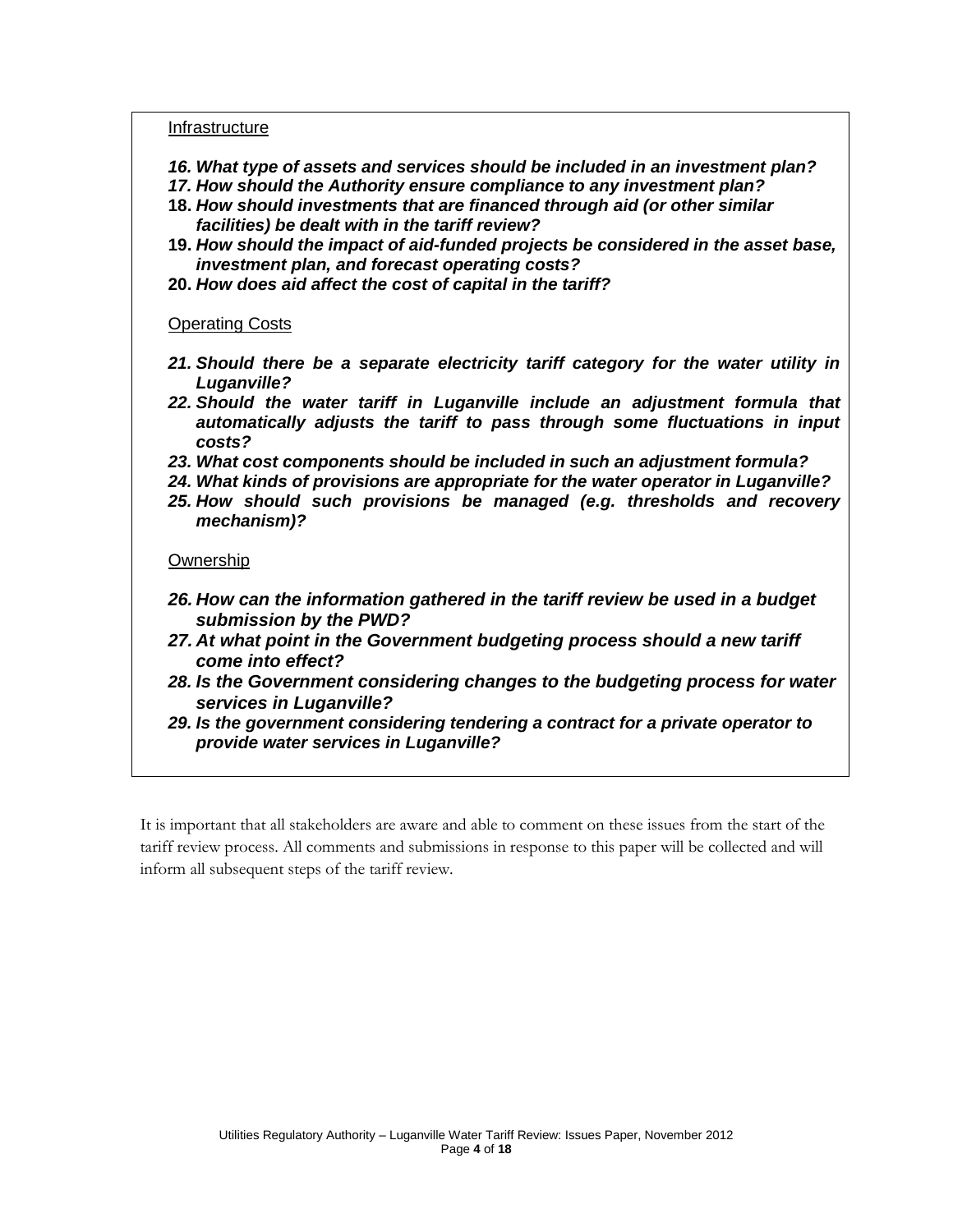#### Infrastructure

- *16. What type of assets and services should be included in an investment plan?*
- *17. How should the Authority ensure compliance to any investment plan?*
- **18.** *How should investments that are financed through aid (or other similar facilities) be dealt with in the tariff review?*
- **19.** *How should the impact of aid-funded projects be considered in the asset base, investment plan, and forecast operating costs?*
- **20.** *How does aid affect the cost of capital in the tariff?*

#### Operating Costs

- *21. Should there be a separate electricity tariff category for the water utility in Luganville?*
- *22. Should the water tariff in Luganville include an adjustment formula that automatically adjusts the tariff to pass through some fluctuations in input costs?*
- *23. What cost components should be included in such an adjustment formula?*
- *24. What kinds of provisions are appropriate for the water operator in Luganville?*
- *25. How should such provisions be managed (e.g. thresholds and recovery mechanism)?*

#### **Ownership**

- *26. How can the information gathered in the tariff review be used in a budget submission by the PWD?*
- *27. At what point in the Government budgeting process should a new tariff come into effect?*
- *28. Is the Government considering changes to the budgeting process for water services in Luganville?*
- *29. Is the government considering tendering a contract for a private operator to provide water services in Luganville?*

It is important that all stakeholders are aware and able to comment on these issues from the start of the tariff review process. All comments and submissions in response to this paper will be collected and will inform all subsequent steps of the tariff review.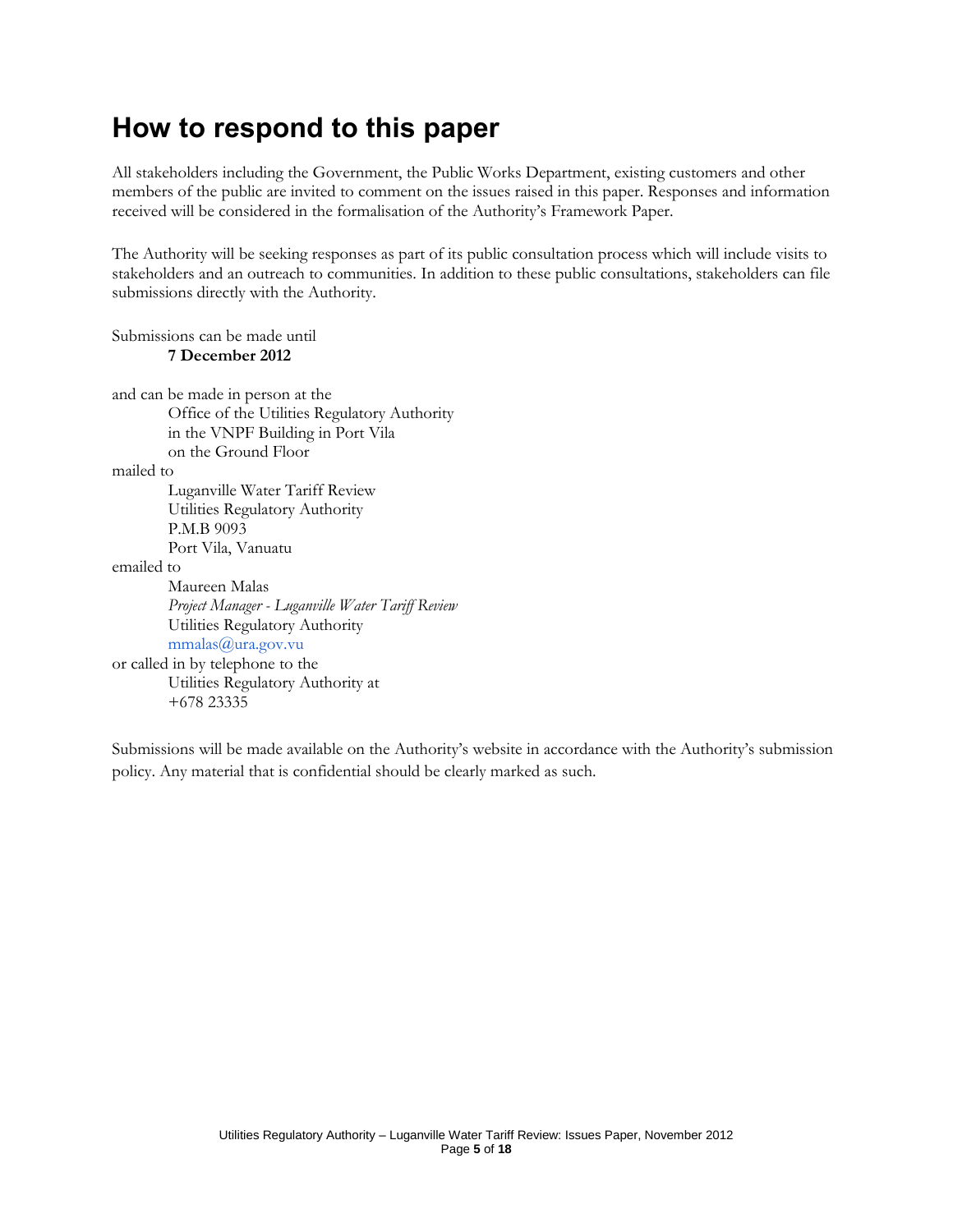# <span id="page-4-0"></span>**How to respond to this paper**

All stakeholders including the Government, the Public Works Department, existing customers and other members of the public are invited to comment on the issues raised in this paper. Responses and information received will be considered in the formalisation of the Authority's Framework Paper.

The Authority will be seeking responses as part of its public consultation process which will include visits to stakeholders and an outreach to communities. In addition to these public consultations, stakeholders can file submissions directly with the Authority.

Submissions can be made until **7 December 2012**

| and can be made in person at the                 |  |  |  |
|--------------------------------------------------|--|--|--|
| Office of the Utilities Regulatory Authority     |  |  |  |
| in the VNPF Building in Port Vila                |  |  |  |
| on the Ground Floor                              |  |  |  |
| mailed to                                        |  |  |  |
| Luganville Water Tariff Review                   |  |  |  |
| Utilities Regulatory Authority                   |  |  |  |
| P.M.B 9093                                       |  |  |  |
| Port Vila, Vanuatu                               |  |  |  |
| emailed to                                       |  |  |  |
| Maureen Malas                                    |  |  |  |
| Project Manager - Luganville Water Tariff Review |  |  |  |
| Utilities Regulatory Authority                   |  |  |  |
| mmalas@ura.gov.vu                                |  |  |  |
| or called in by telephone to the                 |  |  |  |
| Utilities Regulatory Authority at                |  |  |  |
| $+67823335$                                      |  |  |  |
|                                                  |  |  |  |

Submissions will be made available on the Authority's website in accordance with the Authority's submission policy. Any material that is confidential should be clearly marked as such.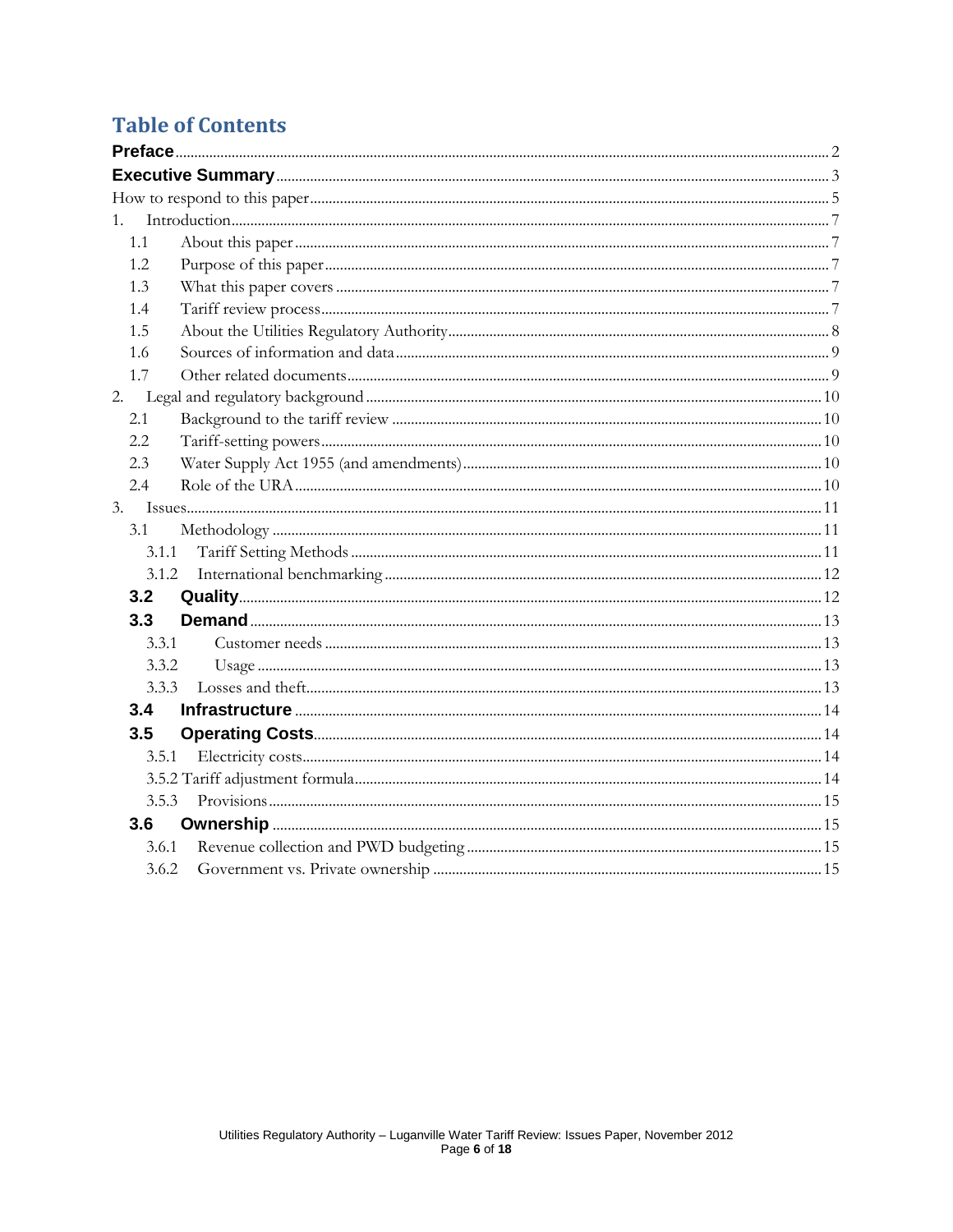### **Table of Contents**

| $1 \quad$ |  |  |  |  |
|-----------|--|--|--|--|
| 1.1       |  |  |  |  |
| 1.2       |  |  |  |  |
| 1.3       |  |  |  |  |
| 1.4       |  |  |  |  |
| 1.5       |  |  |  |  |
| 1.6       |  |  |  |  |
| 1.7       |  |  |  |  |
| 2.        |  |  |  |  |
| 2.1       |  |  |  |  |
| 2.2       |  |  |  |  |
| 2.3       |  |  |  |  |
| 2.4       |  |  |  |  |
| 3.        |  |  |  |  |
| 3.1       |  |  |  |  |
| 3.1.1     |  |  |  |  |
| 3.1.2     |  |  |  |  |
| 3.2       |  |  |  |  |
| 3.3       |  |  |  |  |
| 3.3.1     |  |  |  |  |
| 3.3.2     |  |  |  |  |
| 3.3.3     |  |  |  |  |
| 3.4       |  |  |  |  |
| 3.5       |  |  |  |  |
| 3.5.1     |  |  |  |  |
|           |  |  |  |  |
| 3.5.3     |  |  |  |  |
| 3.6       |  |  |  |  |
| 3.6.1     |  |  |  |  |
| 3.6.2     |  |  |  |  |
|           |  |  |  |  |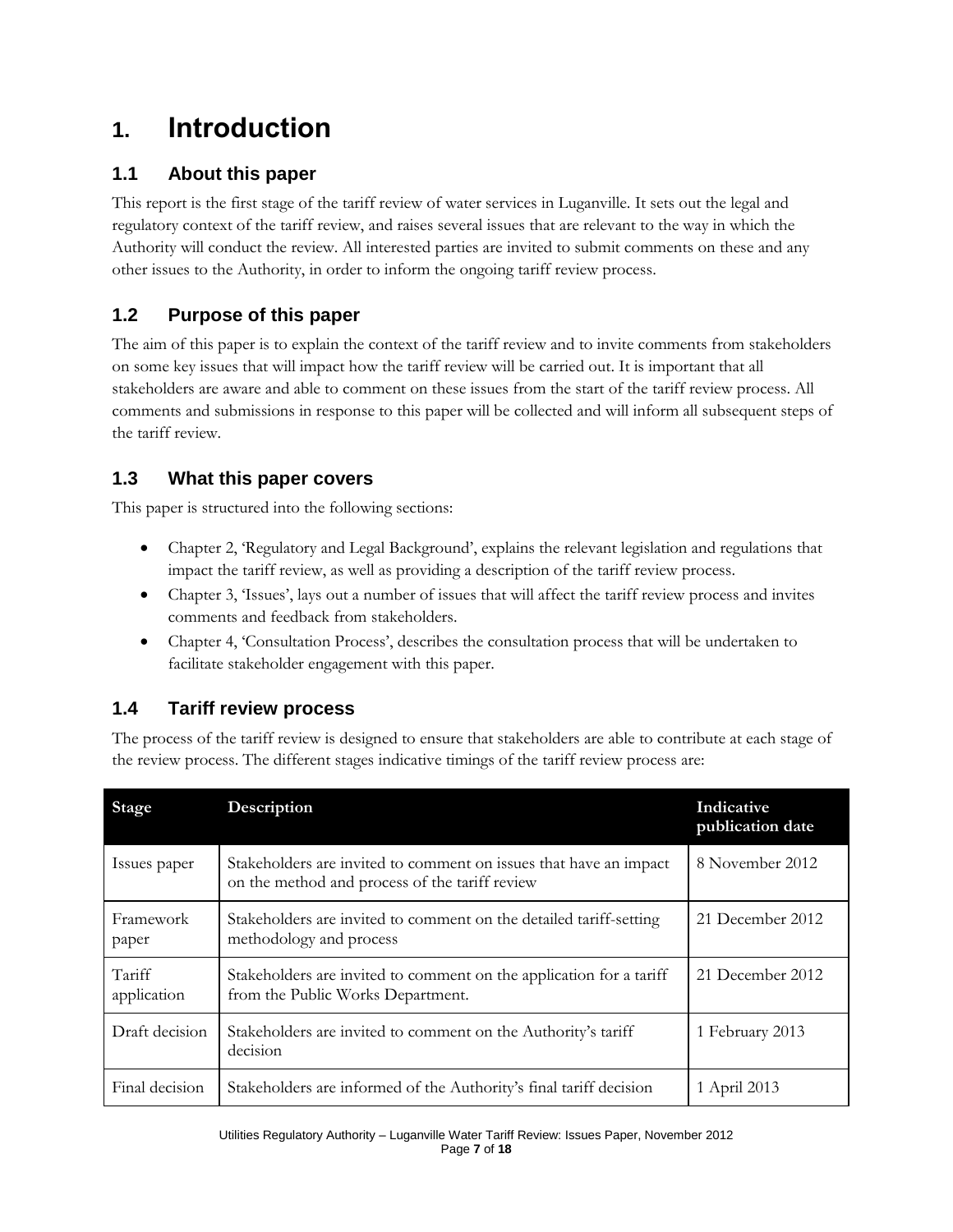## <span id="page-6-0"></span>**1. Introduction**

### <span id="page-6-1"></span>**1.1 About this paper**

This report is the first stage of the tariff review of water services in Luganville. It sets out the legal and regulatory context of the tariff review, and raises several issues that are relevant to the way in which the Authority will conduct the review. All interested parties are invited to submit comments on these and any other issues to the Authority, in order to inform the ongoing tariff review process.

### <span id="page-6-2"></span>**1.2 Purpose of this paper**

The aim of this paper is to explain the context of the tariff review and to invite comments from stakeholders on some key issues that will impact how the tariff review will be carried out. It is important that all stakeholders are aware and able to comment on these issues from the start of the tariff review process. All comments and submissions in response to this paper will be collected and will inform all subsequent steps of the tariff review.

### <span id="page-6-3"></span>**1.3 What this paper covers**

This paper is structured into the following sections:

- Chapter 2, 'Regulatory and Legal Background', explains the relevant legislation and regulations that impact the tariff review, as well as providing a description of the tariff review process.
- Chapter 3, 'Issues', lays out a number of issues that will affect the tariff review process and invites comments and feedback from stakeholders.
- Chapter 4, 'Consultation Process', describes the consultation process that will be undertaken to facilitate stakeholder engagement with this paper.

### <span id="page-6-4"></span>**1.4 Tariff review process**

The process of the tariff review is designed to ensure that stakeholders are able to contribute at each stage of the review process. The different stages indicative timings of the tariff review process are:

| Stage                                                                                       | Description                                                                                                         | Indicative<br>publication date |
|---------------------------------------------------------------------------------------------|---------------------------------------------------------------------------------------------------------------------|--------------------------------|
| Issues paper                                                                                | Stakeholders are invited to comment on issues that have an impact<br>on the method and process of the tariff review | 8 November 2012                |
| Framework<br>paper                                                                          | Stakeholders are invited to comment on the detailed tariff-setting<br>methodology and process                       | 21 December 2012               |
| Tariff<br>application                                                                       | Stakeholders are invited to comment on the application for a tariff<br>from the Public Works Department.            | 21 December 2012               |
| Draft decision<br>Stakeholders are invited to comment on the Authority's tariff<br>decision |                                                                                                                     | 1 February 2013                |
| Final decision                                                                              | Stakeholders are informed of the Authority's final tariff decision                                                  | 1 April 2013                   |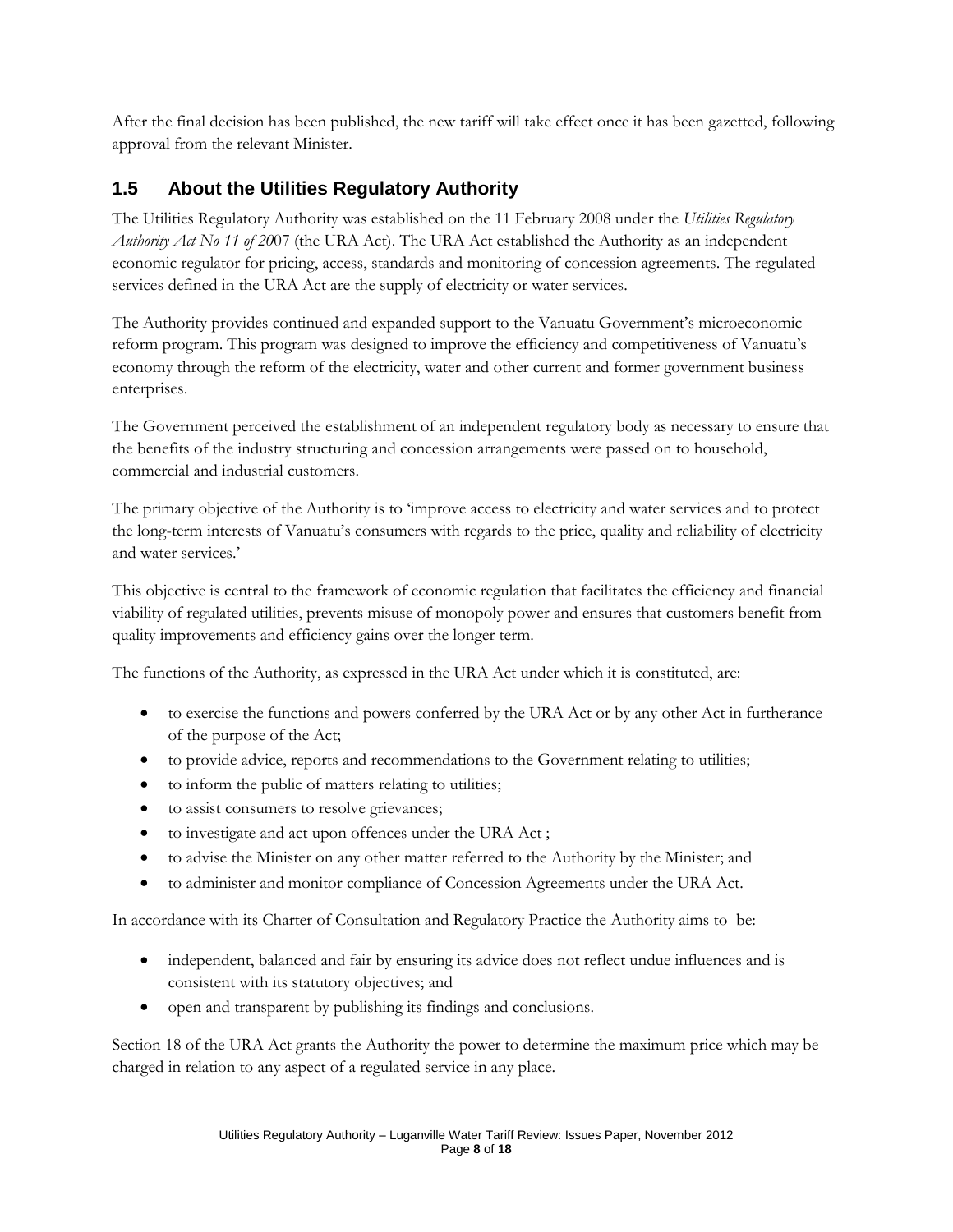After the final decision has been published, the new tariff will take effect once it has been gazetted, following approval from the relevant Minister.

#### <span id="page-7-0"></span>**1.5 About the Utilities Regulatory Authority**

The Utilities Regulatory Authority was established on the 11 February 2008 under the *Utilities Regulatory Authority Act No 11 of 20*07 (the URA Act). The URA Act established the Authority as an independent economic regulator for pricing, access, standards and monitoring of concession agreements. The regulated services defined in the URA Act are the supply of electricity or water services.

The Authority provides continued and expanded support to the Vanuatu Government's microeconomic reform program. This program was designed to improve the efficiency and competitiveness of Vanuatu's economy through the reform of the electricity, water and other current and former government business enterprises.

The Government perceived the establishment of an independent regulatory body as necessary to ensure that the benefits of the industry structuring and concession arrangements were passed on to household, commercial and industrial customers.

The primary objective of the Authority is to 'improve access to electricity and water services and to protect the long-term interests of Vanuatu's consumers with regards to the price, quality and reliability of electricity and water services.'

This objective is central to the framework of economic regulation that facilitates the efficiency and financial viability of regulated utilities, prevents misuse of monopoly power and ensures that customers benefit from quality improvements and efficiency gains over the longer term.

The functions of the Authority, as expressed in the URA Act under which it is constituted, are:

- to exercise the functions and powers conferred by the URA Act or by any other Act in furtherance of the purpose of the Act;
- to provide advice, reports and recommendations to the Government relating to utilities;
- to inform the public of matters relating to utilities;
- to assist consumers to resolve grievances;
- to investigate and act upon offences under the URA Act ;
- to advise the Minister on any other matter referred to the Authority by the Minister; and
- to administer and monitor compliance of Concession Agreements under the URA Act.

In accordance with its Charter of Consultation and Regulatory Practice the Authority aims to be:

- independent, balanced and fair by ensuring its advice does not reflect undue influences and is consistent with its statutory objectives; and
- open and transparent by publishing its findings and conclusions.

Section 18 of the URA Act grants the Authority the power to determine the maximum price which may be charged in relation to any aspect of a regulated service in any place.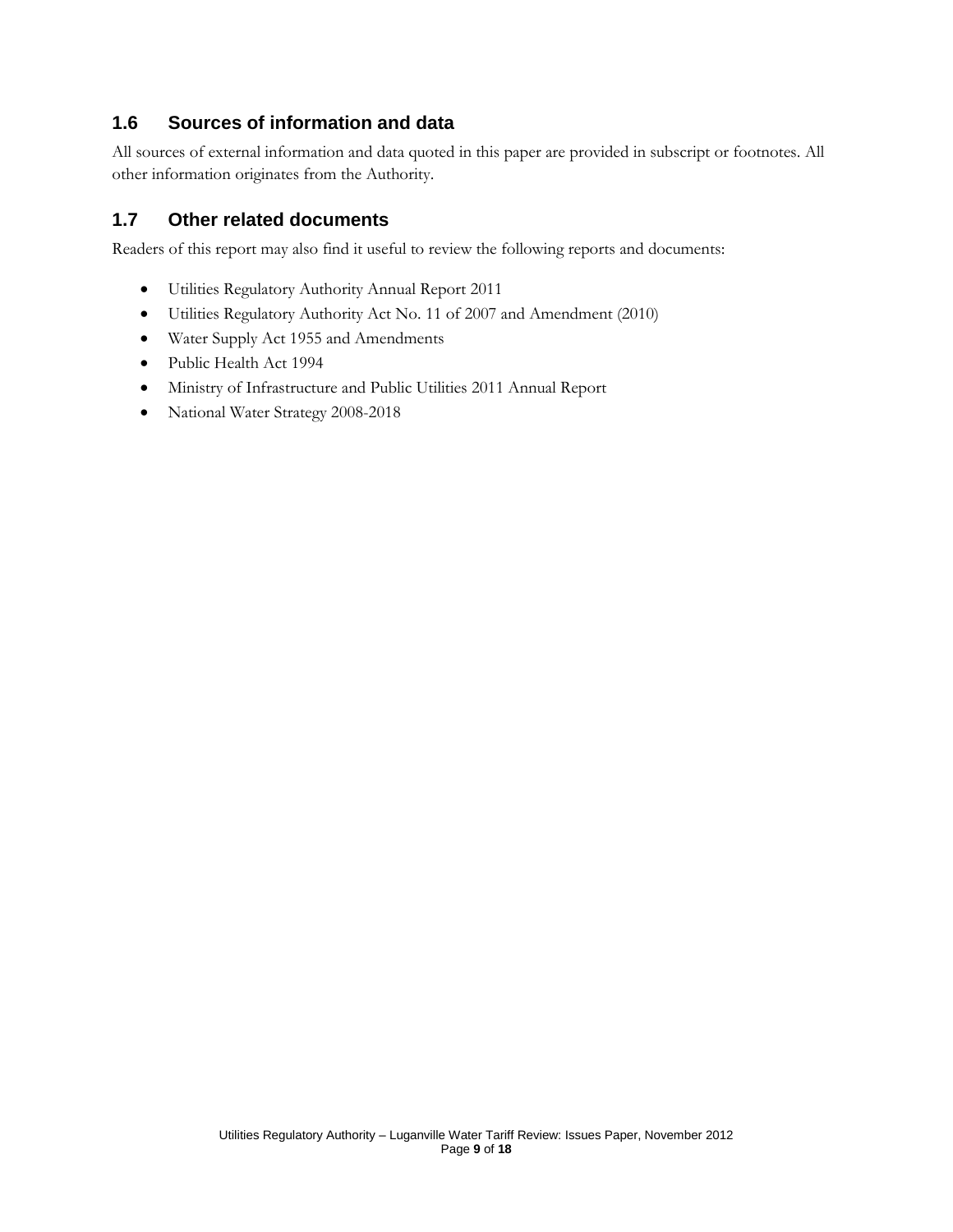#### <span id="page-8-0"></span>**1.6 Sources of information and data**

All sources of external information and data quoted in this paper are provided in subscript or footnotes. All other information originates from the Authority.

#### <span id="page-8-1"></span>**1.7 Other related documents**

Readers of this report may also find it useful to review the following reports and documents:

- Utilities Regulatory Authority Annual Report 2011
- Utilities Regulatory Authority Act No. 11 of 2007 and Amendment (2010)
- Water Supply Act 1955 and Amendments
- Public Health Act 1994
- Ministry of Infrastructure and Public Utilities 2011 Annual Report
- National Water Strategy 2008-2018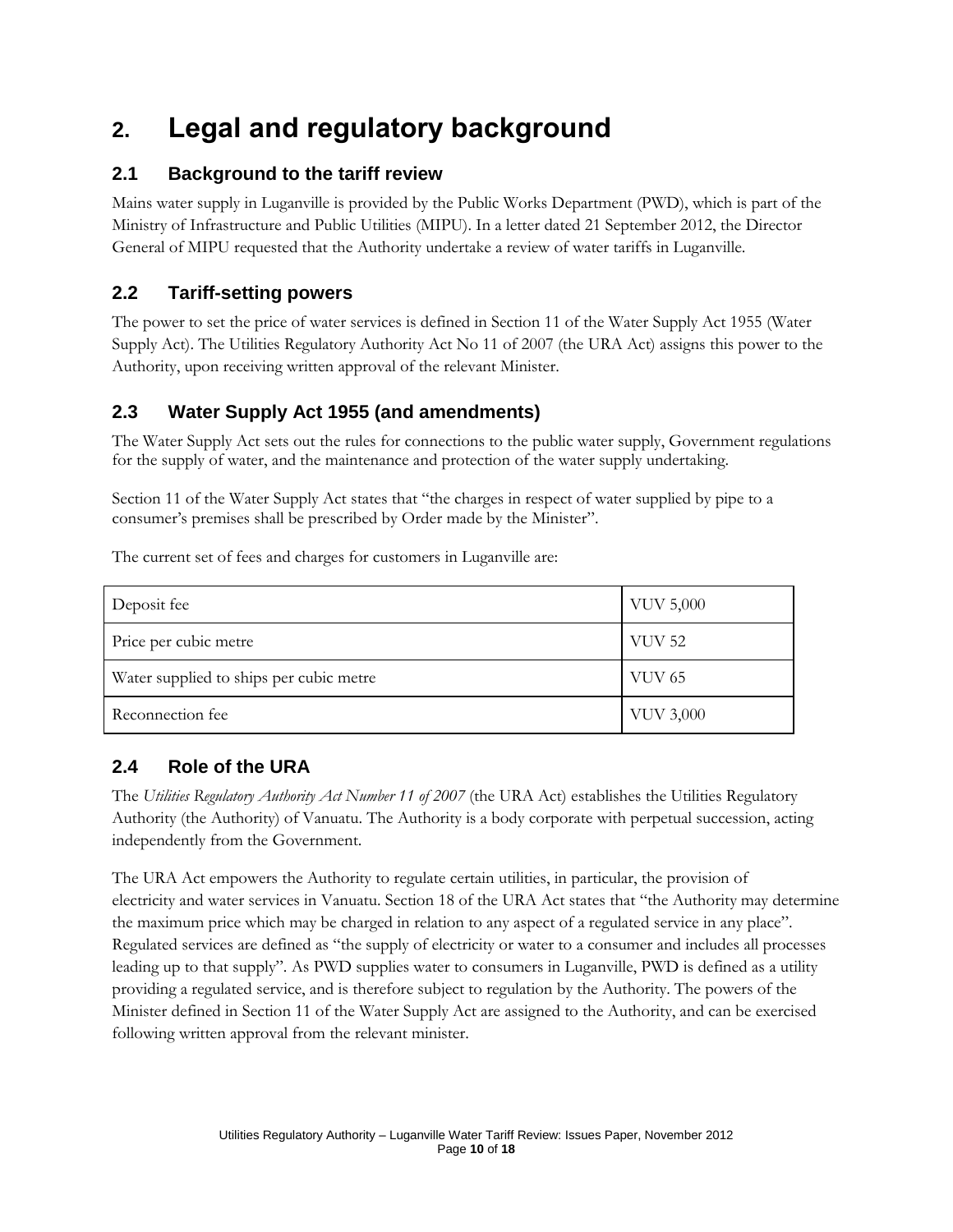# <span id="page-9-0"></span>**2. Legal and regulatory background**

### <span id="page-9-1"></span>**2.1 Background to the tariff review**

Mains water supply in Luganville is provided by the Public Works Department (PWD), which is part of the Ministry of Infrastructure and Public Utilities (MIPU). In a letter dated 21 September 2012, the Director General of MIPU requested that the Authority undertake a review of water tariffs in Luganville.

### <span id="page-9-2"></span>**2.2 Tariff-setting powers**

The power to set the price of water services is defined in Section 11 of the Water Supply Act 1955 (Water Supply Act). The Utilities Regulatory Authority Act No 11 of 2007 (the URA Act) assigns this power to the Authority, upon receiving written approval of the relevant Minister.

### <span id="page-9-3"></span>**2.3 Water Supply Act 1955 (and amendments)**

The Water Supply Act sets out the rules for connections to the public water supply, Government regulations for the supply of water, and the maintenance and protection of the water supply undertaking.

Section 11 of the Water Supply Act states that "the charges in respect of water supplied by pipe to a consumer's premises shall be prescribed by Order made by the Minister".

The current set of fees and charges for customers in Luganville are:

| Deposit fee                             | VUV 5,000        |
|-----------------------------------------|------------------|
| Price per cubic metre                   | <b>VUV 52</b>    |
| Water supplied to ships per cubic metre | <b>VUV 65</b>    |
| Reconnection fee                        | <b>VUV 3,000</b> |

#### <span id="page-9-4"></span>**2.4 Role of the URA**

The *Utilities Regulatory Authority Act Number 11 of 2007* (the URA Act) establishes the Utilities Regulatory Authority (the Authority) of Vanuatu. The Authority is a body corporate with perpetual succession, acting independently from the Government.

The URA Act empowers the Authority to regulate certain utilities, in particular, the provision of electricity and water services in Vanuatu. Section 18 of the URA Act states that "the Authority may determine the maximum price which may be charged in relation to any aspect of a regulated service in any place". Regulated services are defined as "the supply of electricity or water to a consumer and includes all processes leading up to that supply". As PWD supplies water to consumers in Luganville, PWD is defined as a utility providing a regulated service, and is therefore subject to regulation by the Authority. The powers of the Minister defined in Section 11 of the Water Supply Act are assigned to the Authority, and can be exercised following written approval from the relevant minister.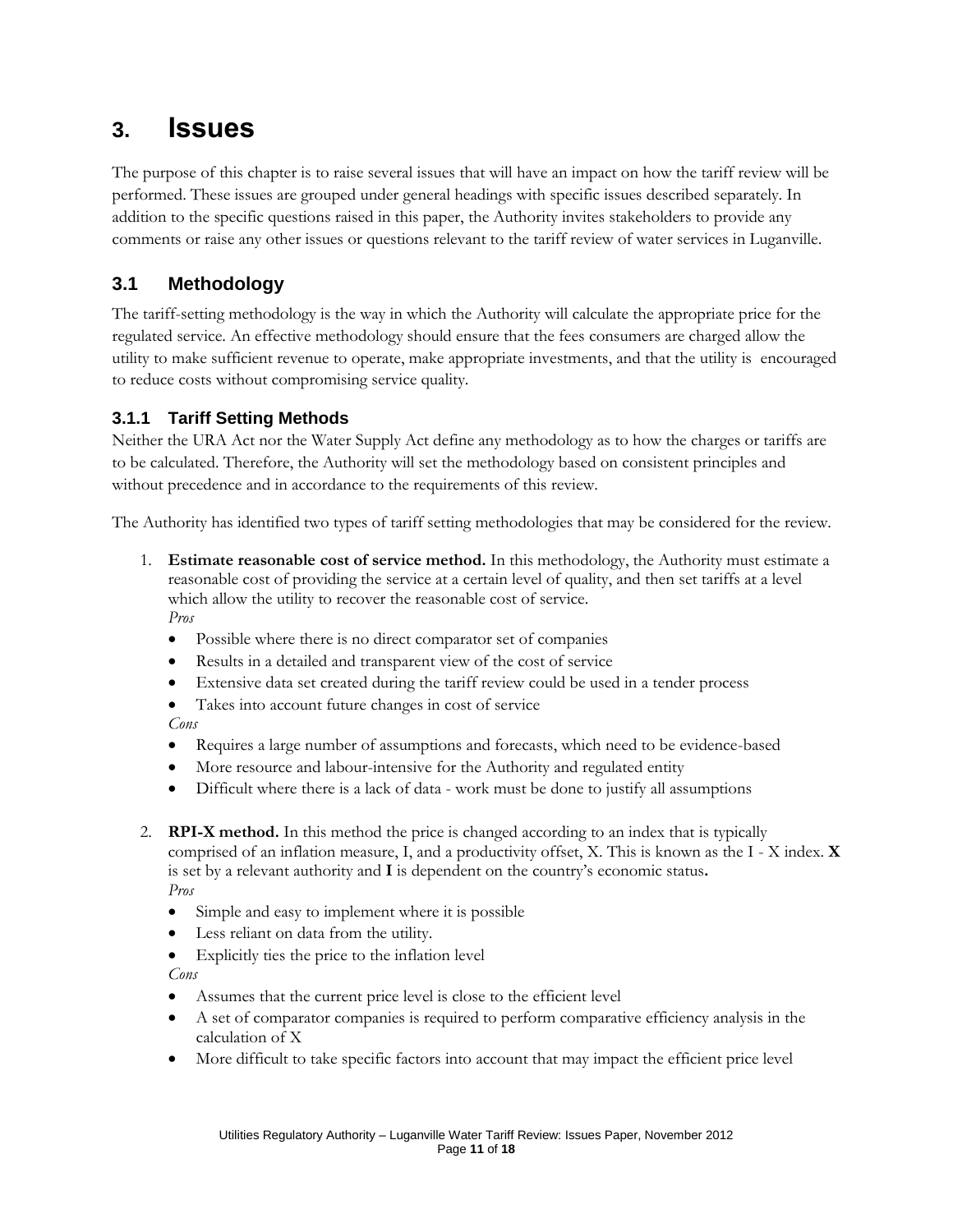### <span id="page-10-0"></span>**3. Issues**

The purpose of this chapter is to raise several issues that will have an impact on how the tariff review will be performed. These issues are grouped under general headings with specific issues described separately. In addition to the specific questions raised in this paper, the Authority invites stakeholders to provide any comments or raise any other issues or questions relevant to the tariff review of water services in Luganville.

#### <span id="page-10-1"></span>**3.1 Methodology**

The tariff-setting methodology is the way in which the Authority will calculate the appropriate price for the regulated service. An effective methodology should ensure that the fees consumers are charged allow the utility to make sufficient revenue to operate, make appropriate investments, and that the utility is encouraged to reduce costs without compromising service quality.

#### <span id="page-10-2"></span>**3.1.1 Tariff Setting Methods**

Neither the URA Act nor the Water Supply Act define any methodology as to how the charges or tariffs are to be calculated. Therefore, the Authority will set the methodology based on consistent principles and without precedence and in accordance to the requirements of this review.

The Authority has identified two types of tariff setting methodologies that may be considered for the review.

- 1. **Estimate reasonable cost of service method.** In this methodology, the Authority must estimate a reasonable cost of providing the service at a certain level of quality, and then set tariffs at a level which allow the utility to recover the reasonable cost of service. *Pros*
	- Possible where there is no direct comparator set of companies
	- Results in a detailed and transparent view of the cost of service
	- Extensive data set created during the tariff review could be used in a tender process
	- Takes into account future changes in cost of service

*Cons*

- Requires a large number of assumptions and forecasts, which need to be evidence-based
- More resource and labour-intensive for the Authority and regulated entity
- Difficult where there is a lack of data work must be done to justify all assumptions
- 2. **RPI-X method.** In this method the price is changed according to an index that is typically comprised of an inflation measure, I, and a productivity offset, X. This is known as the I - X index. **X**  is set by a relevant authority and **I** is dependent on the country's economic status**.**  *Pros*
	- Simple and easy to implement where it is possible
	- Less reliant on data from the utility.
	- Explicitly ties the price to the inflation level

*Cons*

- Assumes that the current price level is close to the efficient level
- A set of comparator companies is required to perform comparative efficiency analysis in the calculation of X
- More difficult to take specific factors into account that may impact the efficient price level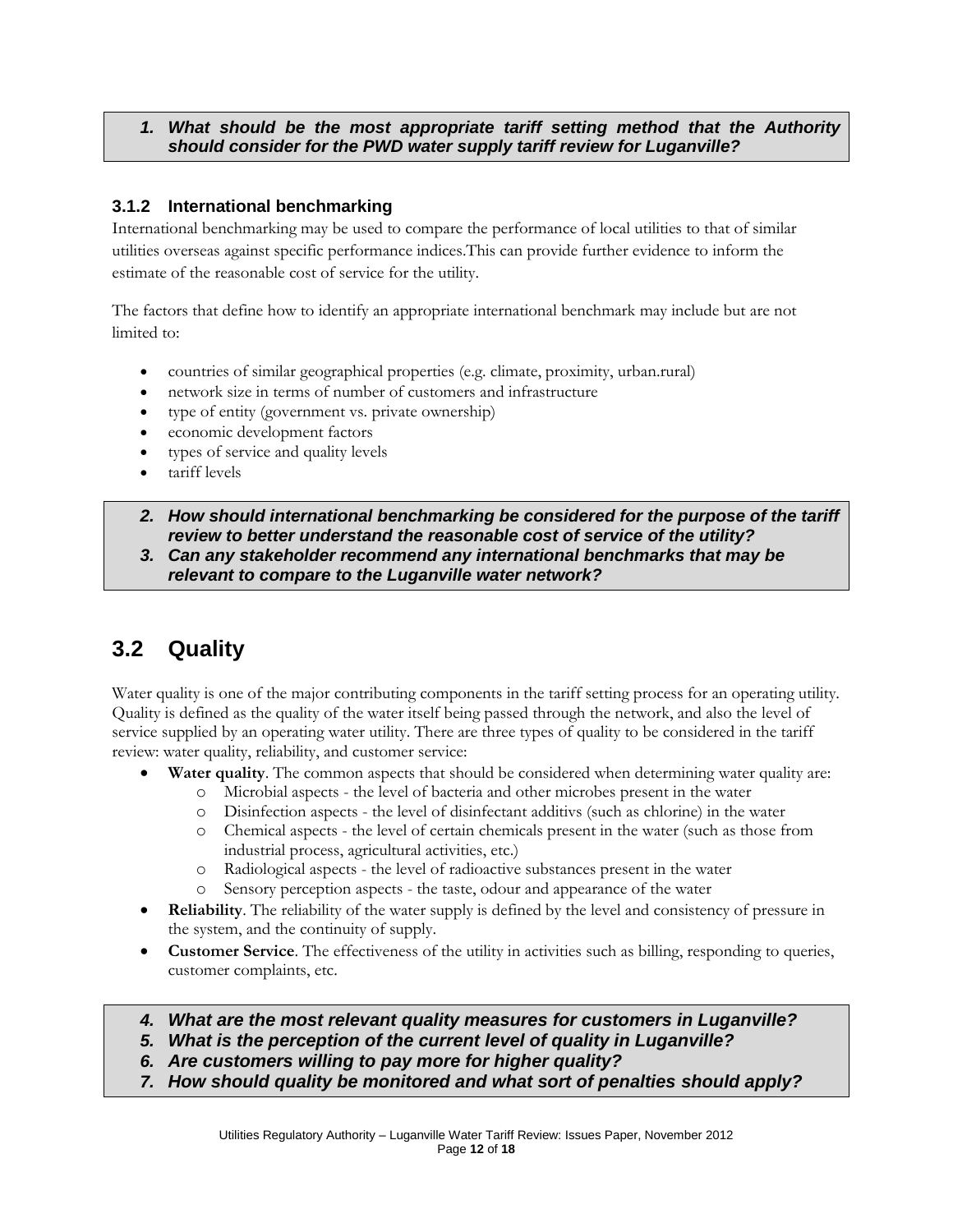#### *1. What should be the most appropriate tariff setting method that the Authority should consider for the PWD water supply tariff review for Luganville?*

#### <span id="page-11-0"></span>**3.1.2 International benchmarking**

International benchmarking may be used to compare the performance of local utilities to that of similar utilities overseas against specific performance indices.This can provide further evidence to inform the estimate of the reasonable cost of service for the utility.

The factors that define how to identify an appropriate international benchmark may include but are not limited to:

- countries of similar geographical properties (e.g. climate, proximity, urban.rural)
- network size in terms of number of customers and infrastructure
- type of entity (government vs. private ownership)
- economic development factors
- types of service and quality levels
- tariff levels

*2. How should international benchmarking be considered for the purpose of the tariff review to better understand the reasonable cost of service of the utility?*

*3. Can any stakeholder recommend any international benchmarks that may be relevant to compare to the Luganville water network?*

### <span id="page-11-1"></span>**3.2 Quality**

Water quality is one of the major contributing components in the tariff setting process for an operating utility. Quality is defined as the quality of the water itself being passed through the network, and also the level of service supplied by an operating water utility. There are three types of quality to be considered in the tariff review: water quality, reliability, and customer service:

- **Water quality**. The common aspects that should be considered when determining water quality are:
	- o Microbial aspects the level of bacteria and other microbes present in the water
	- o Disinfection aspects the level of disinfectant additivs (such as chlorine) in the water
	- o Chemical aspects the level of certain chemicals present in the water (such as those from industrial process, agricultural activities, etc.)
	- o Radiological aspects the level of radioactive substances present in the water
	- o Sensory perception aspects the taste, odour and appearance of the water
- **Reliability**. The reliability of the water supply is defined by the level and consistency of pressure in the system, and the continuity of supply.
- **Customer Service**. The effectiveness of the utility in activities such as billing, responding to queries, customer complaints, etc.
- *4. What are the most relevant quality measures for customers in Luganville?*
- *5. What is the perception of the current level of quality in Luganville?*
- *6. Are customers willing to pay more for higher quality?*
- *7. How should quality be monitored and what sort of penalties should apply?*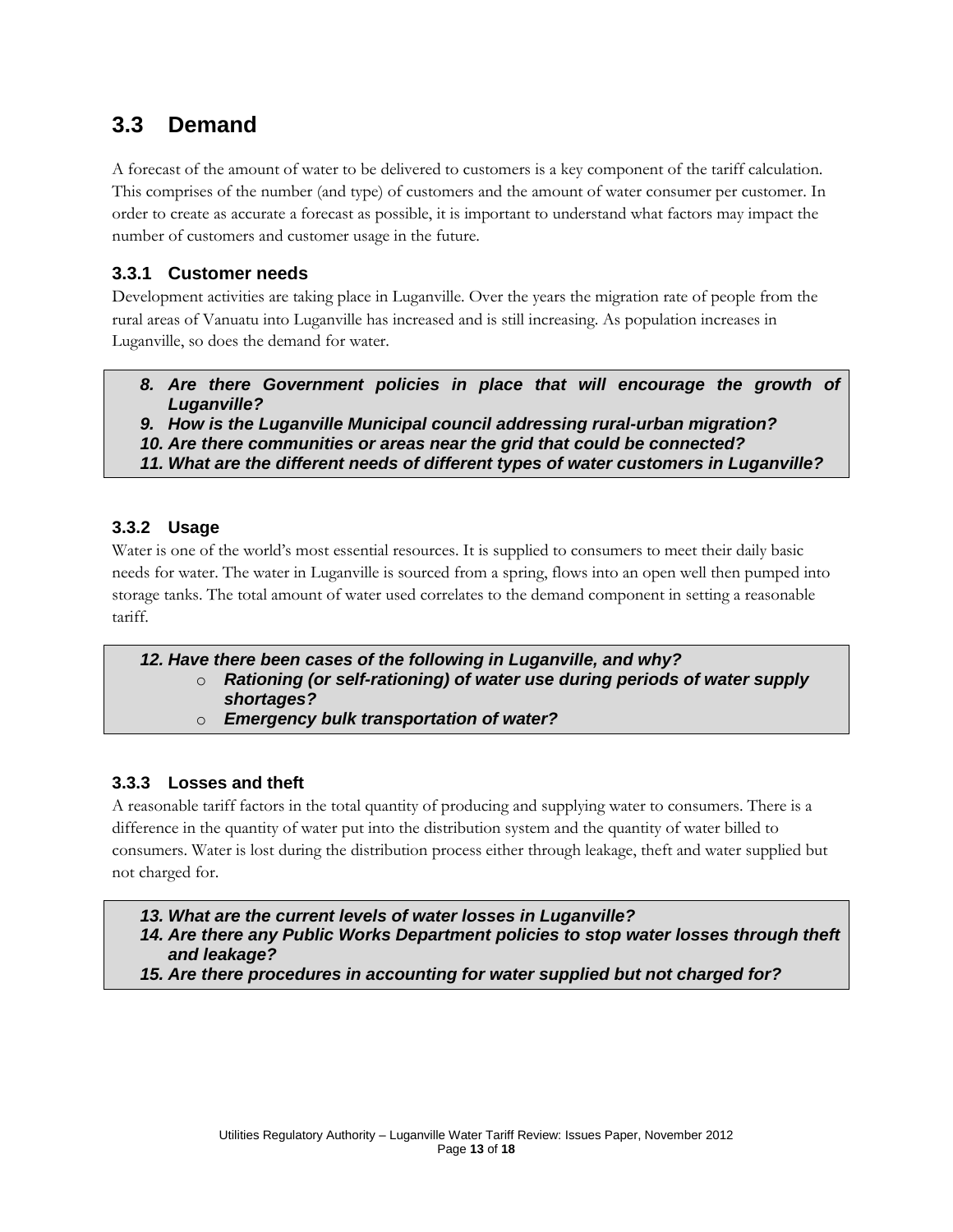### <span id="page-12-0"></span>**3.3 Demand**

A forecast of the amount of water to be delivered to customers is a key component of the tariff calculation. This comprises of the number (and type) of customers and the amount of water consumer per customer. In order to create as accurate a forecast as possible, it is important to understand what factors may impact the number of customers and customer usage in the future.

#### <span id="page-12-1"></span>**3.3.1 Customer needs**

Development activities are taking place in Luganville. Over the years the migration rate of people from the rural areas of Vanuatu into Luganville has increased and is still increasing. As population increases in Luganville, so does the demand for water.

- *8. Are there Government policies in place that will encourage the growth of Luganville?*
- *9. How is the Luganville Municipal council addressing rural-urban migration?*
- *10. Are there communities or areas near the grid that could be connected?*
- *11. What are the different needs of different types of water customers in Luganville?*

#### <span id="page-12-2"></span>**3.3.2 Usage**

Water is one of the world's most essential resources. It is supplied to consumers to meet their daily basic needs for water. The water in Luganville is sourced from a spring, flows into an open well then pumped into storage tanks. The total amount of water used correlates to the demand component in setting a reasonable tariff.

#### *12. Have there been cases of the following in Luganville, and why?*

- o *Rationing (or self-rationing) of water use during periods of water supply shortages?*
- o *Emergency bulk transportation of water?*

#### <span id="page-12-3"></span>**3.3.3 Losses and theft**

A reasonable tariff factors in the total quantity of producing and supplying water to consumers. There is a difference in the quantity of water put into the distribution system and the quantity of water billed to consumers. Water is lost during the distribution process either through leakage, theft and water supplied but not charged for.

*13. What are the current levels of water losses in Luganville?*

*14. Are there any Public Works Department policies to stop water losses through theft and leakage?*

*15. Are there procedures in accounting for water supplied but not charged for?*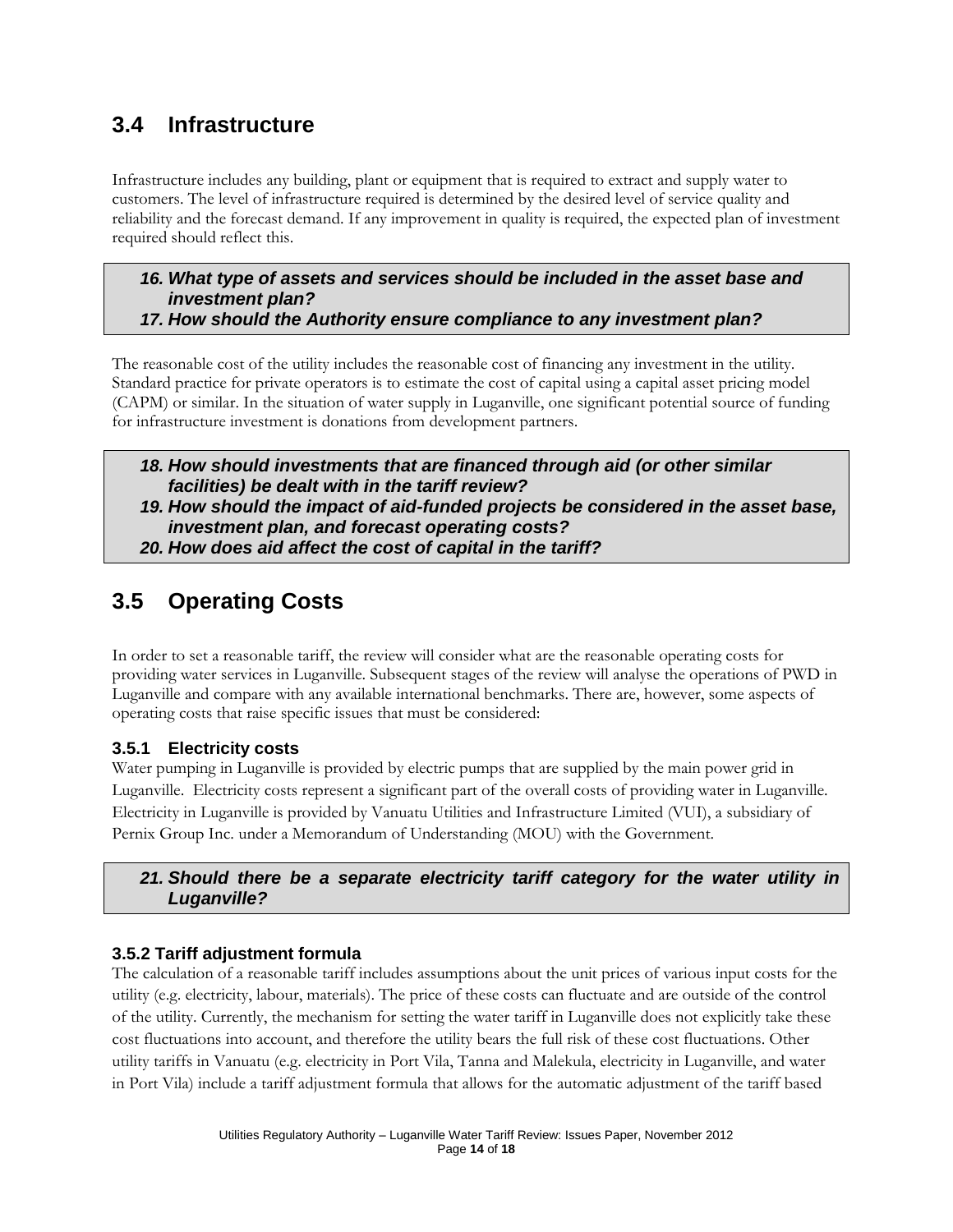### <span id="page-13-0"></span>**3.4 Infrastructure**

Infrastructure includes any building, plant or equipment that is required to extract and supply water to customers. The level of infrastructure required is determined by the desired level of service quality and reliability and the forecast demand. If any improvement in quality is required, the expected plan of investment required should reflect this.

*16. What type of assets and services should be included in the asset base and investment plan? 17. How should the Authority ensure compliance to any investment plan?*

The reasonable cost of the utility includes the reasonable cost of financing any investment in the utility. Standard practice for private operators is to estimate the cost of capital using a capital asset pricing model (CAPM) or similar. In the situation of water supply in Luganville, one significant potential source of funding for infrastructure investment is donations from development partners.

*18. How should investments that are financed through aid (or other similar facilities) be dealt with in the tariff review?*

*19. How should the impact of aid-funded projects be considered in the asset base, investment plan, and forecast operating costs? 20. How does aid affect the cost of capital in the tariff?*

### <span id="page-13-1"></span>**3.5 Operating Costs**

In order to set a reasonable tariff, the review will consider what are the reasonable operating costs for providing water services in Luganville. Subsequent stages of the review will analyse the operations of PWD in Luganville and compare with any available international benchmarks. There are, however, some aspects of operating costs that raise specific issues that must be considered:

#### <span id="page-13-2"></span>**3.5.1 Electricity costs**

Water pumping in Luganville is provided by electric pumps that are supplied by the main power grid in Luganville. Electricity costs represent a significant part of the overall costs of providing water in Luganville. Electricity in Luganville is provided by Vanuatu Utilities and Infrastructure Limited (VUI), a subsidiary of Pernix Group Inc. under a Memorandum of Understanding (MOU) with the Government.

#### *21. Should there be a separate electricity tariff category for the water utility in Luganville?*

#### <span id="page-13-3"></span>**3.5.2 Tariff adjustment formula**

The calculation of a reasonable tariff includes assumptions about the unit prices of various input costs for the utility (e.g. electricity, labour, materials). The price of these costs can fluctuate and are outside of the control of the utility. Currently, the mechanism for setting the water tariff in Luganville does not explicitly take these cost fluctuations into account, and therefore the utility bears the full risk of these cost fluctuations. Other utility tariffs in Vanuatu (e.g. electricity in Port Vila, Tanna and Malekula, electricity in Luganville, and water in Port Vila) include a tariff adjustment formula that allows for the automatic adjustment of the tariff based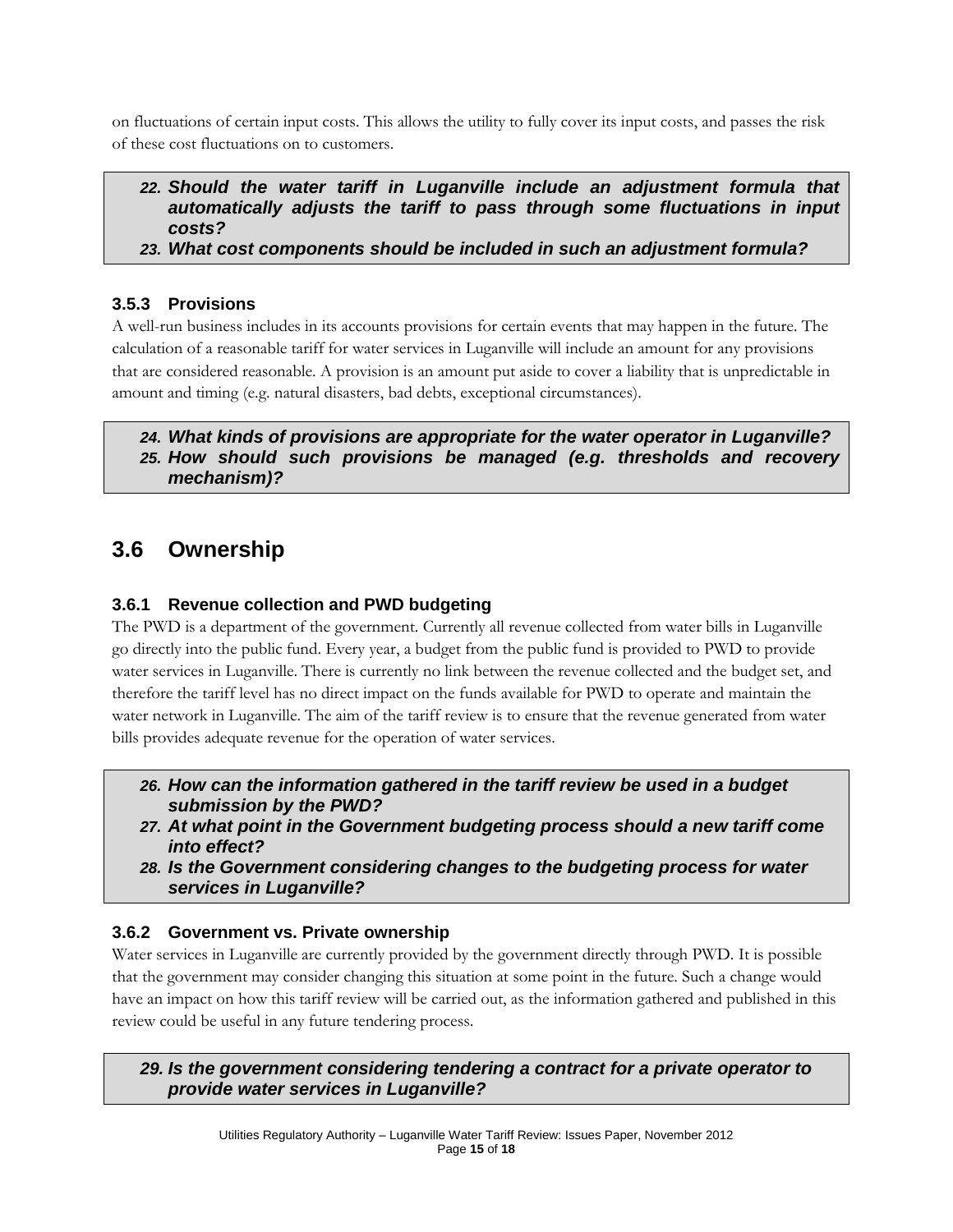on fluctuations of certain input costs. This allows the utility to fully cover its input costs, and passes the risk of these cost fluctuations on to customers.

- *22. Should the water tariff in Luganville include an adjustment formula that automatically adjusts the tariff to pass through some fluctuations in input costs?*
- *23. What cost components should be included in such an adjustment formula?*

#### <span id="page-14-0"></span>**3.5.3 Provisions**

A well-run business includes in its accounts provisions for certain events that may happen in the future. The calculation of a reasonable tariff for water services in Luganville will include an amount for any provisions that are considered reasonable. A provision is an amount put aside to cover a liability that is unpredictable in amount and timing (e.g. natural disasters, bad debts, exceptional circumstances).

#### *24. What kinds of provisions are appropriate for the water operator in Luganville? 25. How should such provisions be managed (e.g. thresholds and recovery mechanism)?*

### <span id="page-14-1"></span>**3.6 Ownership**

#### <span id="page-14-2"></span>**3.6.1 Revenue collection and PWD budgeting**

The PWD is a department of the government. Currently all revenue collected from water bills in Luganville go directly into the public fund. Every year, a budget from the public fund is provided to PWD to provide water services in Luganville. There is currently no link between the revenue collected and the budget set, and therefore the tariff level has no direct impact on the funds available for PWD to operate and maintain the water network in Luganville. The aim of the tariff review is to ensure that the revenue generated from water bills provides adequate revenue for the operation of water services.

- *26. How can the information gathered in the tariff review be used in a budget submission by the PWD?*
- *27. At what point in the Government budgeting process should a new tariff come into effect?*
- *28. Is the Government considering changes to the budgeting process for water services in Luganville?*

#### <span id="page-14-3"></span>**3.6.2 Government vs. Private ownership**

Water services in Luganville are currently provided by the government directly through PWD. It is possible that the government may consider changing this situation at some point in the future. Such a change would have an impact on how this tariff review will be carried out, as the information gathered and published in this review could be useful in any future tendering process.

#### *29. Is the government considering tendering a contract for a private operator to provide water services in Luganville?*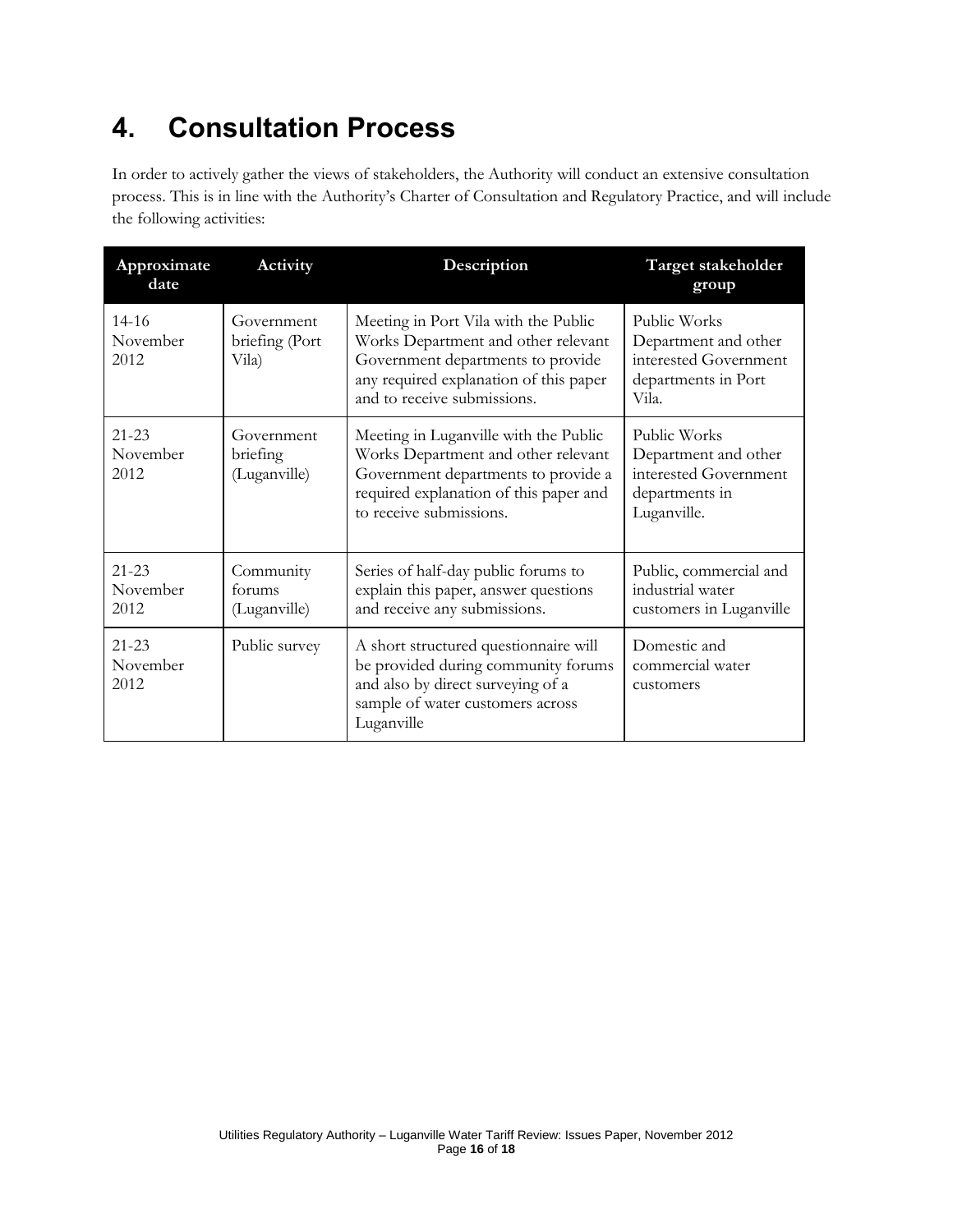# **4. Consultation Process**

In order to actively gather the views of stakeholders, the Authority will conduct an extensive consultation process. This is in line with the Authority's Charter of Consultation and Regulatory Practice, and will include the following activities:

| Approximate<br>date           | Activity                               | <b>Description</b>                                                                                                                                                                        | Target stakeholder<br>group                                                                    |
|-------------------------------|----------------------------------------|-------------------------------------------------------------------------------------------------------------------------------------------------------------------------------------------|------------------------------------------------------------------------------------------------|
| $14 - 16$<br>November<br>2012 | Government<br>briefing (Port<br>Vila)  | Meeting in Port Vila with the Public<br>Works Department and other relevant<br>Government departments to provide<br>any required explanation of this paper<br>and to receive submissions. | Public Works<br>Department and other<br>interested Government<br>departments in Port<br>Vila.  |
| $21 - 23$<br>November<br>2012 | Government<br>briefing<br>(Luganville) | Meeting in Luganville with the Public<br>Works Department and other relevant<br>Government departments to provide a<br>required explanation of this paper and<br>to receive submissions.  | Public Works<br>Department and other<br>interested Government<br>departments in<br>Luganville. |
| $21 - 23$<br>November<br>2012 | Community<br>forums<br>(Luganville)    | Series of half-day public forums to<br>explain this paper, answer questions<br>and receive any submissions.                                                                               | Public, commercial and<br>industrial water<br>customers in Luganville                          |
| $21 - 23$<br>November<br>2012 | Public survey                          | A short structured questionnaire will<br>be provided during community forums<br>and also by direct surveying of a<br>sample of water customers across<br>Luganville                       | Domestic and<br>commercial water<br>customers                                                  |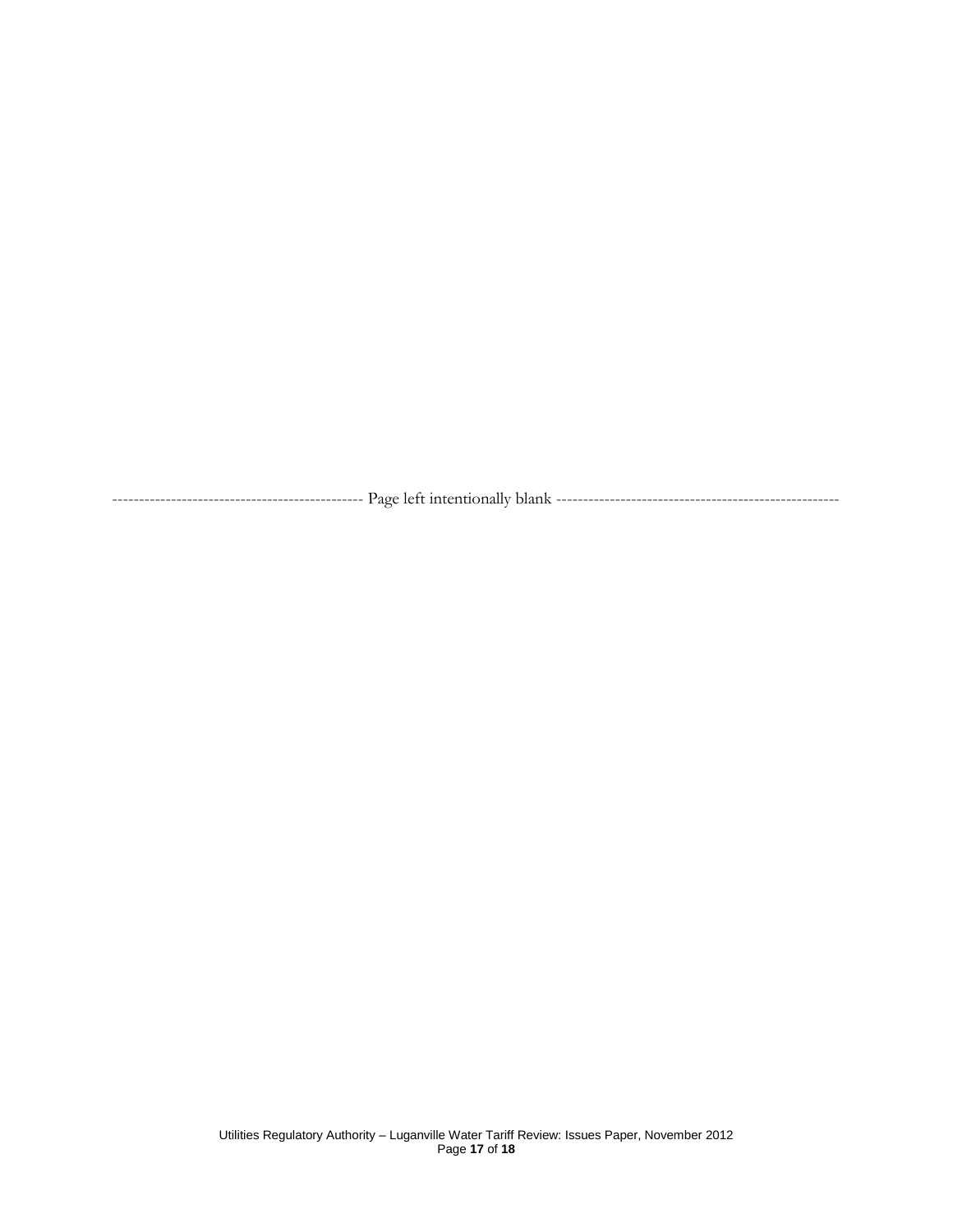----------------------------------------------- Page left intentionally blank -----------------------------------------------------